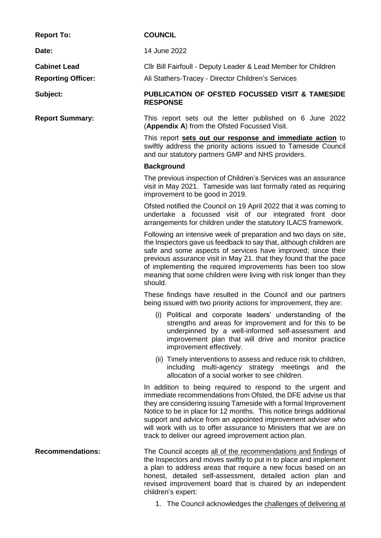**Report To: COUNCIL**

**Cabinet Lead**

**Reporting Officer:**

**Date:** 14 June 2022

Cllr Bill Fairfoull - Deputy Leader & Lead Member for Children

Ali Stathers-Tracey - Director Children's Services

## **Subject: PUBLICATION OF OFSTED FOCUSSED VISIT & TAMESIDE RESPONSE**

**Report Summary:** This report sets out the letter published on 6 June 2022 (**Appendix A**) from the Ofsted Focussed Visit.

> This report **sets out our response and immediate action** to swiftly address the priority actions issued to Tameside Council and our statutory partners GMP and NHS providers.

## **Background**

The previous inspection of Children's Services was an assurance visit in May 2021. Tameside was last formally rated as requiring improvement to be good in 2019.

Ofsted notified the Council on 19 April 2022 that it was coming to undertake a focussed visit of our integrated front door arrangements for children under the statutory ILACS framework.

Following an intensive week of preparation and two days on site, the Inspectors gave us feedback to say that, although children are safe and some aspects of services have improved; since their previous assurance visit in May 21. that they found that the pace of implementing the required improvements has been too slow meaning that some children were living with risk longer than they should.

These findings have resulted in the Council and our partners being issued with two priority actions for improvement, they are:

- (i) Political and corporate leaders' understanding of the strengths and areas for improvement and for this to be underpinned by a well-informed self-assessment and improvement plan that will drive and monitor practice improvement effectively.
- (ii) Timely interventions to assess and reduce risk to children, including multi-agency strategy meetings and the allocation of a social worker to see children.

In addition to being required to respond to the urgent and immediate recommendations from Ofsted, the DFE advise us that they are considering issuing Tameside with a formal Improvement Notice to be in place for 12 months. This notice brings additional support and advice from an appointed improvement adviser who will work with us to offer assurance to Ministers that we are on track to deliver our agreed improvement action plan.

**Recommendations:** The Council accepts all of the recommendations and findings of the Inspectors and moves swiftly to put in to place and implement a plan to address areas that require a new focus based on an honest, detailed self-assessment, detailed action plan and revised improvement board that is chaired by an independent children's expert:

1. The Council acknowledges the challenges of delivering at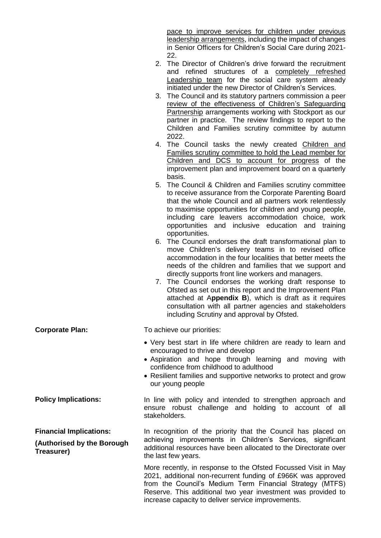pace to improve services for children under previous leadership arrangements, including the impact of changes in Senior Officers for Children's Social Care during 2021- 22.

- 2. The Director of Children's drive forward the recruitment and refined structures of a completely refreshed Leadership team for the social care system already initiated under the new Director of Children's Services.
- 3. The Council and its statutory partners commission a peer review of the effectiveness of Children's Safeguarding Partnership arrangements working with Stockport as our partner in practice. The review findings to report to the Children and Families scrutiny committee by autumn 2022.
- 4. The Council tasks the newly created Children and Families scrutiny committee to hold the Lead member for Children and DCS to account for progress of the improvement plan and improvement board on a quarterly basis.
- 5. The Council & Children and Families scrutiny committee to receive assurance from the Corporate Parenting Board that the whole Council and all partners work relentlessly to maximise opportunities for children and young people, including care leavers accommodation choice, work opportunities and inclusive education and training opportunities.
- 6. The Council endorses the draft transformational plan to move Children's delivery teams in to revised office accommodation in the four localities that better meets the needs of the children and families that we support and directly supports front line workers and managers.
- 7. The Council endorses the working draft response to Ofsted as set out in this report and the Improvement Plan attached at A**ppendix B**), which is draft as it requires consultation with all partner agencies and stakeholders including Scrutiny and approval by Ofsted.

## **Corporate Plan:** To achieve our priorities:

- Very best start in life where children are ready to learn and encouraged to thrive and develop
- Aspiration and hope through learning and moving with confidence from childhood to adulthood
- Resilient families and supportive networks to protect and grow our young people

**Policy Implications:** In line with policy and intended to strengthen approach and ensure robust challenge and holding to account of all stakeholders.

**Financial Implications:**

**(Authorised by the Borough Treasurer)**

In recognition of the priority that the Council has placed on achieving improvements in Children's Services, significant additional resources have been allocated to the Directorate over the last few years.

More recently, in response to the Ofsted Focussed Visit in May 2021, additional non-recurrent funding of £966K was approved from the Council's Medium Term Financial Strategy (MTFS) Reserve. This additional two year investment was provided to increase capacity to deliver service improvements.